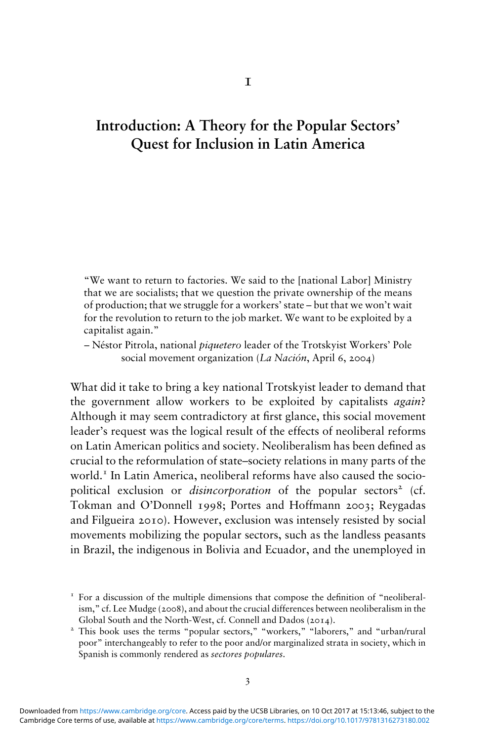# Introduction: A Theory for the Popular Sectors' Quest for Inclusion in Latin America

"We want to return to factories. We said to the [national Labor] Ministry that we are socialists; that we question the private ownership of the means of production; that we struggle for a workers' state – but that we won't wait for the revolution to return to the job market. We want to be exploited by a capitalist again."

– Néstor Pitrola, national piquetero leader of the Trotskyist Workers' Pole social movement organization (La Nación, April 6, 2004)

What did it take to bring a key national Trotskyist leader to demand that the government allow workers to be exploited by capitalists *again*? Although it may seem contradictory at first glance, this social movement leader's request was the logical result of the effects of neoliberal reforms on Latin American politics and society. Neoliberalism has been defined as crucial to the reformulation of state–society relations in many parts of the world.<sup>1</sup> In Latin America, neoliberal reforms have also caused the sociopolitical exclusion or *disincorporation* of the popular sectors<sup>2</sup> (cf. Tokman and O'Donnell 1998; Portes and Hoffmann 2003; Reygadas and Filgueira 2010). However, exclusion was intensely resisted by social movements mobilizing the popular sectors, such as the landless peasants in Brazil, the indigenous in Bolivia and Ecuador, and the unemployed in

 $I<sup>T</sup>$  For a discussion of the multiple dimensions that compose the definition of "neoliberalism," cf. Lee Mudge (2008), and about the crucial differences between neoliberalism in the

Global South and the North-West, cf. Connell and Dados (2014).<br><sup>2</sup> This book uses the terms "popular sectors," "workers," "laborers," and "urban/rural poor" interchangeably to refer to the poor and/or marginalized strata in society, which in Spanish is commonly rendered as *sectores populares*.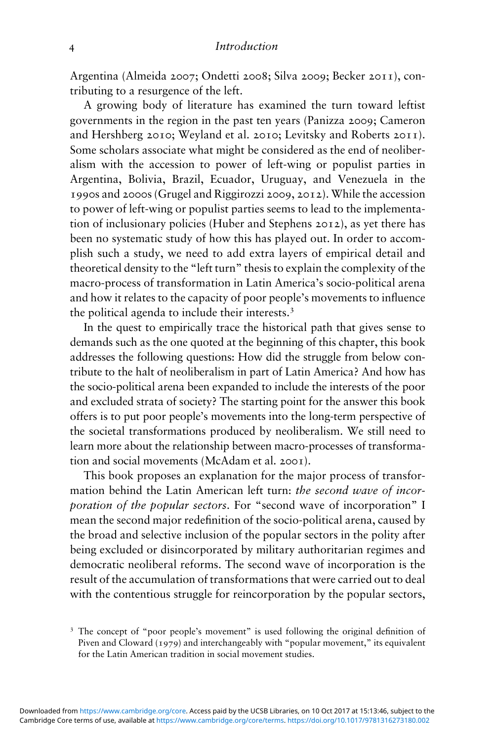Argentina (Almeida 2007; Ondetti 2008; Silva 2009; Becker 2011), contributing to a resurgence of the left.

A growing body of literature has examined the turn toward leftist governments in the region in the past ten years (Panizza 2009; Cameron and Hershberg 2010; Weyland et al. 2010; Levitsky and Roberts 2011). Some scholars associate what might be considered as the end of neoliberalism with the accession to power of left-wing or populist parties in Argentina, Bolivia, Brazil, Ecuador, Uruguay, and Venezuela in the 1990s and 2000s (Grugel and Riggirozzi 2009, 2012). While the accession to power of left-wing or populist parties seems to lead to the implementation of inclusionary policies (Huber and Stephens 2012), as yet there has been no systematic study of how this has played out. In order to accomplish such a study, we need to add extra layers of empirical detail and theoretical density to the "left turn" thesis to explain the complexity of the macro-process of transformation in Latin America's socio-political arena and how it relates to the capacity of poor people's movements to influence the political agenda to include their interests.<sup>3</sup>

In the quest to empirically trace the historical path that gives sense to demands such as the one quoted at the beginning of this chapter, this book addresses the following questions: How did the struggle from below contribute to the halt of neoliberalism in part of Latin America? And how has the socio-political arena been expanded to include the interests of the poor and excluded strata of society? The starting point for the answer this book offers is to put poor people's movements into the long-term perspective of the societal transformations produced by neoliberalism. We still need to learn more about the relationship between macro-processes of transformation and social movements (McAdam et al. 2001).

This book proposes an explanation for the major process of transformation behind the Latin American left turn: the second wave of incorporation of the popular sectors. For "second wave of incorporation" I mean the second major redefinition of the socio-political arena, caused by the broad and selective inclusion of the popular sectors in the polity after being excluded or disincorporated by military authoritarian regimes and democratic neoliberal reforms. The second wave of incorporation is the result of the accumulation of transformations that were carried out to deal with the contentious struggle for reincorporation by the popular sectors,

<sup>&</sup>lt;sup>3</sup> The concept of "poor people's movement" is used following the original definition of Piven and Cloward (1979) and interchangeably with "popular movement," its equivalent for the Latin American tradition in social movement studies.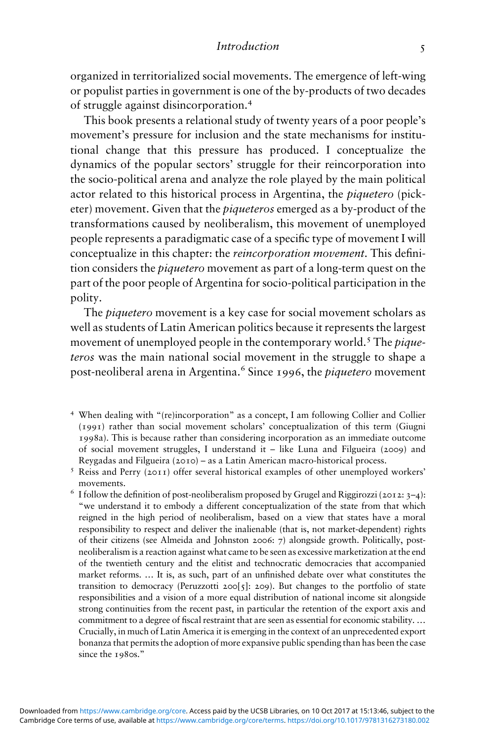organized in territorialized social movements. The emergence of left-wing or populist parties in government is one of the by-products of two decades of struggle against disincorporation.<sup>4</sup>

This book presents a relational study of twenty years of a poor people's movement's pressure for inclusion and the state mechanisms for institutional change that this pressure has produced. I conceptualize the dynamics of the popular sectors' struggle for their reincorporation into the socio-political arena and analyze the role played by the main political actor related to this historical process in Argentina, the *piquetero* (picketer) movement. Given that the piqueteros emerged as a by-product of the transformations caused by neoliberalism, this movement of unemployed people represents a paradigmatic case of a specific type of movement I will conceptualize in this chapter: the reincorporation movement. This definition considers the piquetero movement as part of a long-term quest on the part of the poor people of Argentina for socio-political participation in the polity.

The *piquetero* movement is a key case for social movement scholars as well as students of Latin American politics because it represents the largest movement of unemployed people in the contemporary world.<sup>5</sup> The *pique*teros was the main national social movement in the struggle to shape a post-neoliberal arena in Argentina.<sup>6</sup> Since 1996, the *piquetero* movement

- <sup>4</sup> When dealing with "(re)incorporation" as a concept, I am following Collier and Collier (1991) rather than social movement scholars' conceptualization of this term (Giugni 1998a). This is because rather than considering incorporation as an immediate outcome of social movement struggles, I understand it – like Luna and Filgueira (2009) and Reygadas and Filgueira (2010) – as a Latin American macro-historical process.<br><sup>5</sup> Reiss and Perry (2011) offer several historical examples of other unemployed workers'
- movements.<br><sup>6</sup> I follow the definition of post-neoliberalism proposed by Grugel and Riggirozzi (2012: 3–4):
- "we understand it to embody a different conceptualization of the state from that which reigned in the high period of neoliberalism, based on a view that states have a moral responsibility to respect and deliver the inalienable (that is, not market-dependent) rights of their citizens (see Almeida and Johnston 2006: 7) alongside growth. Politically, postneoliberalism is a reaction against what came to be seen as excessive marketization at the end of the twentieth century and the elitist and technocratic democracies that accompanied market reforms. … It is, as such, part of an unfinished debate over what constitutes the transition to democracy (Peruzzotti 200[5]: 209). But changes to the portfolio of state responsibilities and a vision of a more equal distribution of national income sit alongside strong continuities from the recent past, in particular the retention of the export axis and commitment to a degree of fiscal restraint that are seen as essential for economic stability. ... Crucially, in much of Latin America it is emerging in the context of an unprecedented export bonanza that permits the adoption of more expansive public spending than has been the case since the 1980s."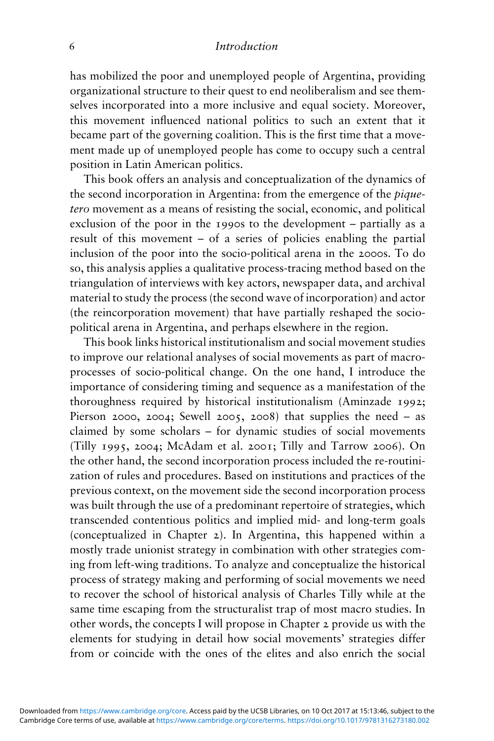#### 6 Introduction

has mobilized the poor and unemployed people of Argentina, providing organizational structure to their quest to end neoliberalism and see themselves incorporated into a more inclusive and equal society. Moreover, this movement influenced national politics to such an extent that it became part of the governing coalition. This is the first time that a movement made up of unemployed people has come to occupy such a central position in Latin American politics.

This book offers an analysis and conceptualization of the dynamics of the second incorporation in Argentina: from the emergence of the *pique*tero movement as a means of resisting the social, economic, and political exclusion of the poor in the 1990s to the development – partially as a result of this movement – of a series of policies enabling the partial inclusion of the poor into the socio-political arena in the 2000s. To do so, this analysis applies a qualitative process-tracing method based on the triangulation of interviews with key actors, newspaper data, and archival material to study the process (the second wave of incorporation) and actor (the reincorporation movement) that have partially reshaped the sociopolitical arena in Argentina, and perhaps elsewhere in the region.

This book links historical institutionalism and social movement studies to improve our relational analyses of social movements as part of macroprocesses of socio-political change. On the one hand, I introduce the importance of considering timing and sequence as a manifestation of the thoroughness required by historical institutionalism (Aminzade 1992; Pierson 2000, 2004; Sewell 2005, 2008) that supplies the need – as claimed by some scholars – for dynamic studies of social movements (Tilly 1995, 2004; McAdam et al. 2001; Tilly and Tarrow 2006). On the other hand, the second incorporation process included the re-routinization of rules and procedures. Based on institutions and practices of the previous context, on the movement side the second incorporation process was built through the use of a predominant repertoire of strategies, which transcended contentious politics and implied mid- and long-term goals (conceptualized in Chapter 2). In Argentina, this happened within a mostly trade unionist strategy in combination with other strategies coming from left-wing traditions. To analyze and conceptualize the historical process of strategy making and performing of social movements we need to recover the school of historical analysis of Charles Tilly while at the same time escaping from the structuralist trap of most macro studies. In other words, the concepts I will propose in Chapter 2 provide us with the elements for studying in detail how social movements' strategies differ from or coincide with the ones of the elites and also enrich the social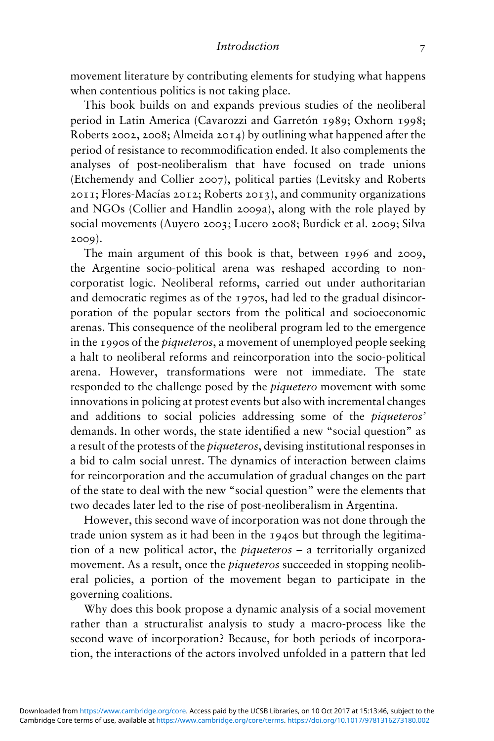movement literature by contributing elements for studying what happens when contentious politics is not taking place.

This book builds on and expands previous studies of the neoliberal period in Latin America (Cavarozzi and Garretón 1989; Oxhorn 1998; Roberts 2002, 2008; Almeida 2014) by outlining what happened after the period of resistance to recommodification ended. It also complements the analyses of post-neoliberalism that have focused on trade unions (Etchemendy and Collier 2007), political parties (Levitsky and Roberts 2011; Flores-Macías 2012; Roberts 2013), and community organizations and NGOs (Collier and Handlin 2009a), along with the role played by social movements (Auyero 2003; Lucero 2008; Burdick et al. 2009; Silva 2009).

The main argument of this book is that, between 1996 and 2009, the Argentine socio-political arena was reshaped according to noncorporatist logic. Neoliberal reforms, carried out under authoritarian and democratic regimes as of the 1970s, had led to the gradual disincorporation of the popular sectors from the political and socioeconomic arenas. This consequence of the neoliberal program led to the emergence in the 1990s of the piqueteros, a movement of unemployed people seeking a halt to neoliberal reforms and reincorporation into the socio-political arena. However, transformations were not immediate. The state responded to the challenge posed by the *piquetero* movement with some innovations in policing at protest events but also with incremental changes and additions to social policies addressing some of the piqueteros' demands. In other words, the state identified a new "social question" as a result of the protests of the *piqueteros*, devising institutional responses in a bid to calm social unrest. The dynamics of interaction between claims for reincorporation and the accumulation of gradual changes on the part of the state to deal with the new "social question" were the elements that two decades later led to the rise of post-neoliberalism in Argentina.

However, this second wave of incorporation was not done through the trade union system as it had been in the 1940s but through the legitimation of a new political actor, the piqueteros – a territorially organized movement. As a result, once the *piqueteros* succeeded in stopping neoliberal policies, a portion of the movement began to participate in the governing coalitions.

Why does this book propose a dynamic analysis of a social movement rather than a structuralist analysis to study a macro-process like the second wave of incorporation? Because, for both periods of incorporation, the interactions of the actors involved unfolded in a pattern that led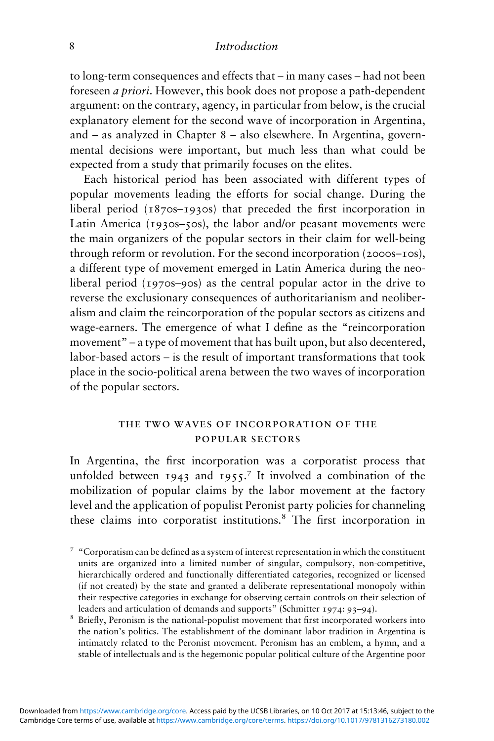#### 8 Introduction

to long-term consequences and effects that – in many cases – had not been foreseen a priori. However, this book does not propose a path-dependent argument: on the contrary, agency, in particular from below, is the crucial explanatory element for the second wave of incorporation in Argentina, and – as analyzed in Chapter 8 – also elsewhere. In Argentina, governmental decisions were important, but much less than what could be expected from a study that primarily focuses on the elites.

Each historical period has been associated with different types of popular movements leading the efforts for social change. During the liberal period (1870s–1930s) that preceded the first incorporation in Latin America (1930s–50s), the labor and/or peasant movements were the main organizers of the popular sectors in their claim for well-being through reform or revolution. For the second incorporation (2000s–10s), a different type of movement emerged in Latin America during the neoliberal period (1970s–90s) as the central popular actor in the drive to reverse the exclusionary consequences of authoritarianism and neoliberalism and claim the reincorporation of the popular sectors as citizens and wage-earners. The emergence of what I define as the "reincorporation movement" – a type of movement that has built upon, but also decentered, labor-based actors – is the result of important transformations that took place in the socio-political arena between the two waves of incorporation of the popular sectors.

## the two waves of incorporation of the popular sectors

In Argentina, the first incorporation was a corporatist process that unfolded between 1943 and 1955. <sup>7</sup> It involved a combination of the mobilization of popular claims by the labor movement at the factory level and the application of populist Peronist party policies for channeling these claims into corporatist institutions.<sup>8</sup> The first incorporation in

- $7\degree$  "Corporatism can be defined as a system of interest representation in which the constituent units are organized into a limited number of singular, compulsory, non-competitive, hierarchically ordered and functionally differentiated categories, recognized or licensed (if not created) by the state and granted a deliberate representational monopoly within their respective categories in exchange for observing certain controls on their selection of leaders and articulation of demands and supports" (Schmitter <sup>1974</sup>: <sup>93</sup>–94). <sup>8</sup> Briefly, Peronism is the national-populist movement that first incorporated workers into
- the nation's politics. The establishment of the dominant labor tradition in Argentina is intimately related to the Peronist movement. Peronism has an emblem, a hymn, and a stable of intellectuals and is the hegemonic popular political culture of the Argentine poor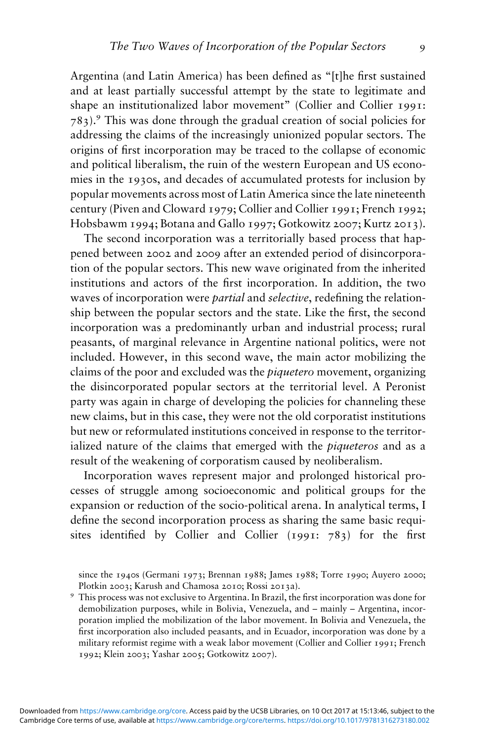Argentina (and Latin America) has been defined as "[t]he first sustained and at least partially successful attempt by the state to legitimate and shape an institutionalized labor movement" (Collier and Collier 1991:  $783$ ).<sup>9</sup> This was done through the gradual creation of social policies for addressing the claims of the increasingly unionized popular sectors. The origins of first incorporation may be traced to the collapse of economic and political liberalism, the ruin of the western European and US economies in the 1930s, and decades of accumulated protests for inclusion by popular movements across most of Latin America since the late nineteenth century (Piven and Cloward 1979; Collier and Collier 1991; French 1992; Hobsbawm 1994; Botana and Gallo 1997; Gotkowitz 2007; Kurtz 2013).

The second incorporation was a territorially based process that happened between 2002 and 2009 after an extended period of disincorporation of the popular sectors. This new wave originated from the inherited institutions and actors of the first incorporation. In addition, the two waves of incorporation were *partial* and *selective*, redefining the relationship between the popular sectors and the state. Like the first, the second incorporation was a predominantly urban and industrial process; rural peasants, of marginal relevance in Argentine national politics, were not included. However, in this second wave, the main actor mobilizing the claims of the poor and excluded was the piquetero movement, organizing the disincorporated popular sectors at the territorial level. A Peronist party was again in charge of developing the policies for channeling these new claims, but in this case, they were not the old corporatist institutions but new or reformulated institutions conceived in response to the territorialized nature of the claims that emerged with the *piqueteros* and as a result of the weakening of corporatism caused by neoliberalism.

Incorporation waves represent major and prolonged historical processes of struggle among socioeconomic and political groups for the expansion or reduction of the socio-political arena. In analytical terms, I define the second incorporation process as sharing the same basic requisites identified by Collier and Collier (1991: 783) for the first

since the 1940s (Germani 1973; Brennan 1988; James 1988; Torre 1990; Auyero 2000; Plotkin 2003; Karush and Chamosa 2010; Rossi 2013a).<br><sup>9</sup> This process was not exclusive to Argentina. In Brazil, the first incorporation was done for

demobilization purposes, while in Bolivia, Venezuela, and – mainly – Argentina, incorporation implied the mobilization of the labor movement. In Bolivia and Venezuela, the first incorporation also included peasants, and in Ecuador, incorporation was done by a military reformist regime with a weak labor movement (Collier and Collier 1991; French 1992; Klein 2003; Yashar 2005; Gotkowitz 2007).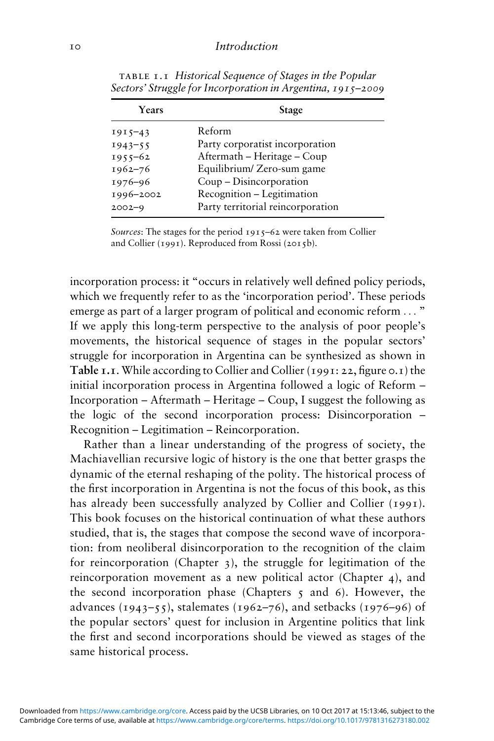| Years       | Stage                             |
|-------------|-----------------------------------|
| $1915 - 43$ | Reform                            |
| $1943 - 55$ | Party corporatist incorporation   |
| $1955 - 62$ | Aftermath - Heritage - Coup       |
| $1962 - 76$ | Equilibrium/Zero-sum game         |
| $1976 - 96$ | Coup – Disincorporation           |
| 1996-2002   | Recognition - Legitimation        |
| $2002 - 9$  | Party territorial reincorporation |

table 1.1 Historical Sequence of Stages in the Popular Sectors' Struggle for Incorporation in Argentina, *1915*–*2009*

Sources: The stages for the period 1915–62 were taken from Collier and Collier (1991). Reproduced from Rossi (2015b).

incorporation process: it "occurs in relatively well defined policy periods, which we frequently refer to as the 'incorporation period'. These periods emerge as part of a larger program of political and economic reform ... " If we apply this long-term perspective to the analysis of poor people's movements, the historical sequence of stages in the popular sectors' struggle for incorporation in Argentina can be synthesized as shown in Table 1.1. While according to Collier and Collier (1991: 22, figure 0.1) the initial incorporation process in Argentina followed a logic of Reform – Incorporation – Aftermath – Heritage – Coup, I suggest the following as the logic of the second incorporation process: Disincorporation – Recognition – Legitimation – Reincorporation.

Rather than a linear understanding of the progress of society, the Machiavellian recursive logic of history is the one that better grasps the dynamic of the eternal reshaping of the polity. The historical process of the first incorporation in Argentina is not the focus of this book, as this has already been successfully analyzed by Collier and Collier (1991). This book focuses on the historical continuation of what these authors studied, that is, the stages that compose the second wave of incorporation: from neoliberal disincorporation to the recognition of the claim for reincorporation (Chapter 3), the struggle for legitimation of the reincorporation movement as a new political actor (Chapter 4), and the second incorporation phase (Chapters  $\zeta$  and 6). However, the advances (1943–55), stalemates (1962–76), and setbacks (1976–96) of the popular sectors' quest for inclusion in Argentine politics that link the first and second incorporations should be viewed as stages of the same historical process.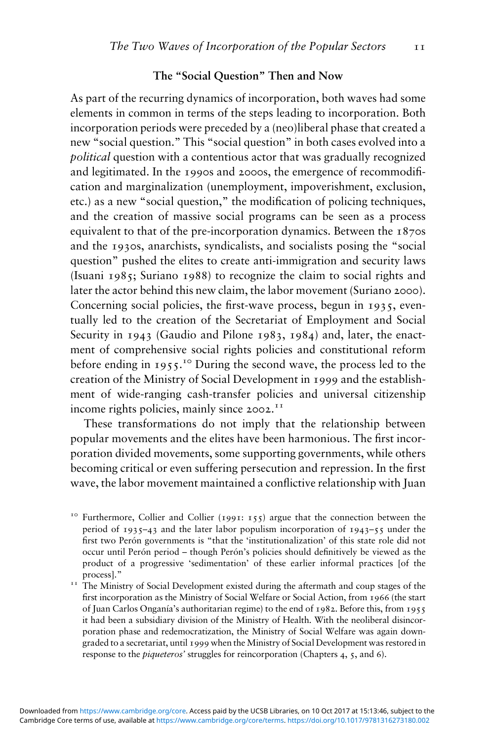## The "Social Question" Then and Now

As part of the recurring dynamics of incorporation, both waves had some elements in common in terms of the steps leading to incorporation. Both incorporation periods were preceded by a (neo)liberal phase that created a new "social question." This "social question" in both cases evolved into a political question with a contentious actor that was gradually recognized and legitimated. In the 1990s and 2000s, the emergence of recommodification and marginalization (unemployment, impoverishment, exclusion, etc.) as a new "social question," the modification of policing techniques, and the creation of massive social programs can be seen as a process equivalent to that of the pre-incorporation dynamics. Between the 1870s and the 1930s, anarchists, syndicalists, and socialists posing the "social question" pushed the elites to create anti-immigration and security laws (Isuani 1985; Suriano 1988) to recognize the claim to social rights and later the actor behind this new claim, the labor movement (Suriano 2000). Concerning social policies, the first-wave process, begun in 1935, eventually led to the creation of the Secretariat of Employment and Social Security in 1943 (Gaudio and Pilone 1983, 1984) and, later, the enactment of comprehensive social rights policies and constitutional reform before ending in 1955. <sup>10</sup> During the second wave, the process led to the creation of the Ministry of Social Development in 1999 and the establishment of wide-ranging cash-transfer policies and universal citizenship income rights policies, mainly since 2002.<sup>11</sup>

These transformations do not imply that the relationship between popular movements and the elites have been harmonious. The first incorporation divided movements, some supporting governments, while others becoming critical or even suffering persecution and repression. In the first wave, the labor movement maintained a conflictive relationship with Juan

<sup>&</sup>lt;sup>10</sup> Furthermore, Collier and Collier (1991: 155) argue that the connection between the period of 1935–43 and the later labor populism incorporation of 1943–55 under the first two Perón governments is "that the 'institutionalization' of this state role did not occur until Perón period – though Perón's policies should definitively be viewed as the product of a progressive 'sedimentation' of these earlier informal practices [of the process]." 11 The Ministry of Social Development existed during the aftermath and coup stages of the

first incorporation as the Ministry of Social Welfare or Social Action, from 1966 (the start of Juan Carlos Onganía's authoritarian regime) to the end of 1982. Before this, from 1955 it had been a subsidiary division of the Ministry of Health. With the neoliberal disincorporation phase and redemocratization, the Ministry of Social Welfare was again downgraded to a secretariat, until 1999 when the Ministry of Social Development was restored in response to the *piqueteros'* struggles for reincorporation (Chapters 4, 5, and 6).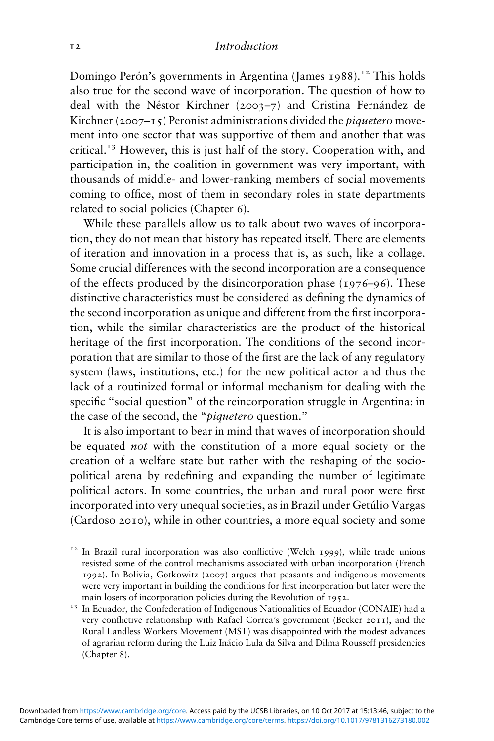Domingo Perón's governments in Argentina (James 1988).<sup>12</sup> This holds also true for the second wave of incorporation. The question of how to deal with the Néstor Kirchner (2003–7) and Cristina Fernández de Kirchner (2007–15) Peronist administrations divided the *piquetero* movement into one sector that was supportive of them and another that was critical.<sup> $13$ </sup> However, this is just half of the story. Cooperation with, and participation in, the coalition in government was very important, with thousands of middle- and lower-ranking members of social movements coming to office, most of them in secondary roles in state departments related to social policies (Chapter 6).

While these parallels allow us to talk about two waves of incorporation, they do not mean that history has repeated itself. There are elements of iteration and innovation in a process that is, as such, like a collage. Some crucial differences with the second incorporation are a consequence of the effects produced by the disincorporation phase (1976–96). These distinctive characteristics must be considered as defining the dynamics of the second incorporation as unique and different from the first incorporation, while the similar characteristics are the product of the historical heritage of the first incorporation. The conditions of the second incorporation that are similar to those of the first are the lack of any regulatory system (laws, institutions, etc.) for the new political actor and thus the lack of a routinized formal or informal mechanism for dealing with the specific "social question" of the reincorporation struggle in Argentina: in the case of the second, the "piquetero question."

It is also important to bear in mind that waves of incorporation should be equated not with the constitution of a more equal society or the creation of a welfare state but rather with the reshaping of the sociopolitical arena by redefining and expanding the number of legitimate political actors. In some countries, the urban and rural poor were first incorporated into very unequal societies, as in Brazil under Getúlio Vargas (Cardoso 2010), while in other countries, a more equal society and some

 $12$  In Brazil rural incorporation was also conflictive (Welch 1999), while trade unions resisted some of the control mechanisms associated with urban incorporation (French 1992). In Bolivia, Gotkowitz (2007) argues that peasants and indigenous movements were very important in building the conditions for first incorporation but later were the main losers of incorporation policies during the Revolution of 1952.<br><sup>13</sup> In Ecuador, the Confederation of Indigenous Nationalities of Ecuador (CONAIE) had a

very conflictive relationship with Rafael Correa's government (Becker 2011), and the Rural Landless Workers Movement (MST) was disappointed with the modest advances of agrarian reform during the Luiz Inácio Lula da Silva and Dilma Rousseff presidencies (Chapter 8).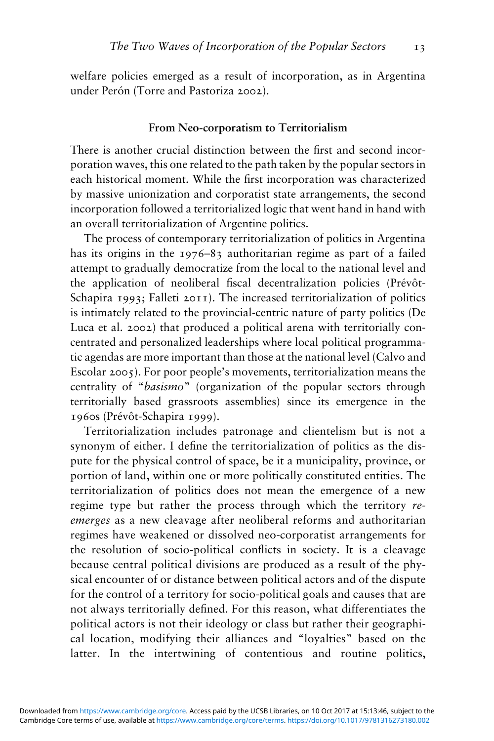welfare policies emerged as a result of incorporation, as in Argentina under Perón (Torre and Pastoriza 2002).

#### From Neo-corporatism to Territorialism

There is another crucial distinction between the first and second incorporation waves, this one related to the path taken by the popular sectors in each historical moment. While the first incorporation was characterized by massive unionization and corporatist state arrangements, the second incorporation followed a territorialized logic that went hand in hand with an overall territorialization of Argentine politics.

The process of contemporary territorialization of politics in Argentina has its origins in the 1976–83 authoritarian regime as part of a failed attempt to gradually democratize from the local to the national level and the application of neoliberal fiscal decentralization policies (Prévôt-Schapira 1993; Falleti 2011). The increased territorialization of politics is intimately related to the provincial-centric nature of party politics (De Luca et al. 2002) that produced a political arena with territorially concentrated and personalized leaderships where local political programmatic agendas are more important than those at the national level (Calvo and Escolar 2005). For poor people's movements, territorialization means the centrality of "basismo" (organization of the popular sectors through territorially based grassroots assemblies) since its emergence in the 1960s (Prévôt-Schapira 1999).

Territorialization includes patronage and clientelism but is not a synonym of either. I define the territorialization of politics as the dispute for the physical control of space, be it a municipality, province, or portion of land, within one or more politically constituted entities. The territorialization of politics does not mean the emergence of a new regime type but rather the process through which the territory reemerges as a new cleavage after neoliberal reforms and authoritarian regimes have weakened or dissolved neo-corporatist arrangements for the resolution of socio-political conflicts in society. It is a cleavage because central political divisions are produced as a result of the physical encounter of or distance between political actors and of the dispute for the control of a territory for socio-political goals and causes that are not always territorially defined. For this reason, what differentiates the political actors is not their ideology or class but rather their geographical location, modifying their alliances and "loyalties" based on the latter. In the intertwining of contentious and routine politics,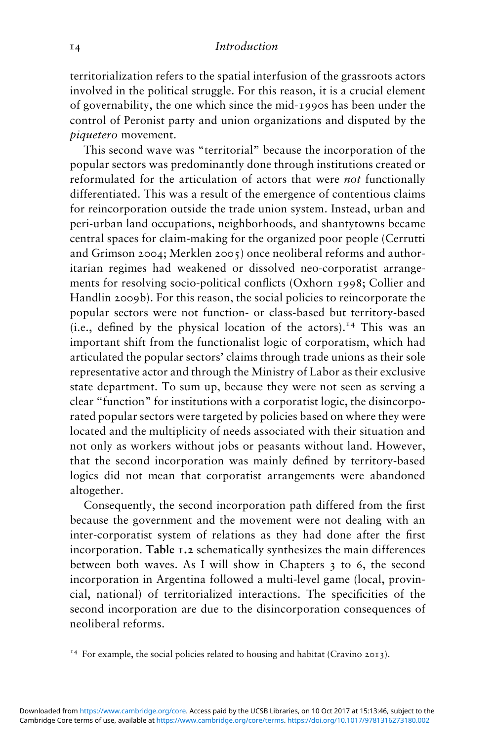territorialization refers to the spatial interfusion of the grassroots actors involved in the political struggle. For this reason, it is a crucial element of governability, the one which since the mid-1990s has been under the control of Peronist party and union organizations and disputed by the piquetero movement.

This second wave was "territorial" because the incorporation of the popular sectors was predominantly done through institutions created or reformulated for the articulation of actors that were not functionally differentiated. This was a result of the emergence of contentious claims for reincorporation outside the trade union system. Instead, urban and peri-urban land occupations, neighborhoods, and shantytowns became central spaces for claim-making for the organized poor people (Cerrutti and Grimson 2004; Merklen 2005) once neoliberal reforms and authoritarian regimes had weakened or dissolved neo-corporatist arrangements for resolving socio-political conflicts (Oxhorn 1998; Collier and Handlin 2009b). For this reason, the social policies to reincorporate the popular sectors were not function- or class-based but territory-based (i.e., defined by the physical location of the actors).<sup>14</sup> This was an important shift from the functionalist logic of corporatism, which had articulated the popular sectors' claims through trade unions as their sole representative actor and through the Ministry of Labor as their exclusive state department. To sum up, because they were not seen as serving a clear "function" for institutions with a corporatist logic, the disincorporated popular sectors were targeted by policies based on where they were located and the multiplicity of needs associated with their situation and not only as workers without jobs or peasants without land. However, that the second incorporation was mainly defined by territory-based logics did not mean that corporatist arrangements were abandoned altogether.

Consequently, the second incorporation path differed from the first because the government and the movement were not dealing with an inter-corporatist system of relations as they had done after the first incorporation. Table 1.2 schematically synthesizes the main differences between both waves. As I will show in Chapters 3 to 6, the second incorporation in Argentina followed a multi-level game (local, provincial, national) of territorialized interactions. The specificities of the second incorporation are due to the disincorporation consequences of neoliberal reforms.

 $14$  For example, the social policies related to housing and habitat (Cravino 2013).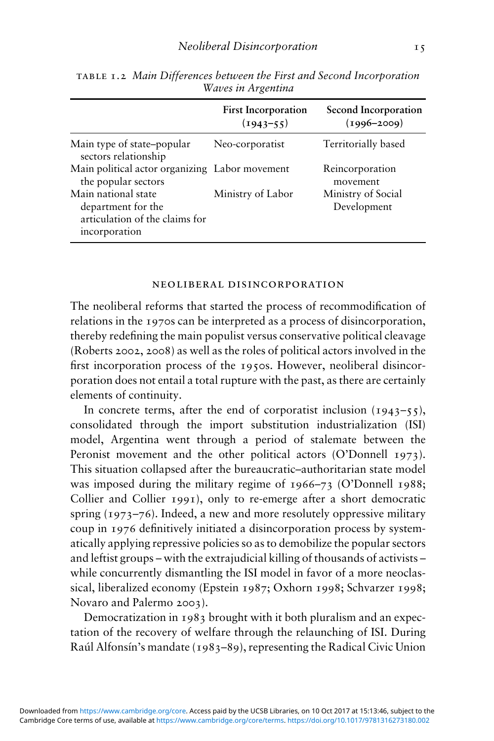|                                                                                              | <b>First Incorporation</b><br>$(1943 - 55)$ | Second Incorporation<br>$(1996 - 2009)$ |
|----------------------------------------------------------------------------------------------|---------------------------------------------|-----------------------------------------|
| Main type of state-popular<br>sectors relationship                                           | Neo-corporatist                             | Territorially based                     |
| Main political actor organizing Labor movement<br>the popular sectors                        |                                             | Reincorporation<br>movement             |
| Main national state<br>department for the<br>articulation of the claims for<br>incorporation | Ministry of Labor                           | Ministry of Social<br>Development       |

table 1.2 Main Differences between the First and Second Incorporation Waves in Argentina

#### neoliberal disincorporation

The neoliberal reforms that started the process of recommodification of relations in the 1970s can be interpreted as a process of disincorporation, thereby redefining the main populist versus conservative political cleavage (Roberts 2002, 2008) as well as the roles of political actors involved in the first incorporation process of the 1950s. However, neoliberal disincorporation does not entail a total rupture with the past, as there are certainly elements of continuity.

In concrete terms, after the end of corporatist inclusion  $(1943-55)$ , consolidated through the import substitution industrialization (ISI) model, Argentina went through a period of stalemate between the Peronist movement and the other political actors (O'Donnell 1973). This situation collapsed after the bureaucratic–authoritarian state model was imposed during the military regime of 1966–73 (O'Donnell 1988; Collier and Collier 1991), only to re-emerge after a short democratic spring (1973–76). Indeed, a new and more resolutely oppressive military coup in 1976 definitively initiated a disincorporation process by systematically applying repressive policies so as to demobilize the popular sectors and leftist groups – with the extrajudicial killing of thousands of activists – while concurrently dismantling the ISI model in favor of a more neoclassical, liberalized economy (Epstein 1987; Oxhorn 1998; Schvarzer 1998; Novaro and Palermo 2003).

Democratization in 1983 brought with it both pluralism and an expectation of the recovery of welfare through the relaunching of ISI. During Raúl Alfonsín's mandate (1983–89), representing the Radical Civic Union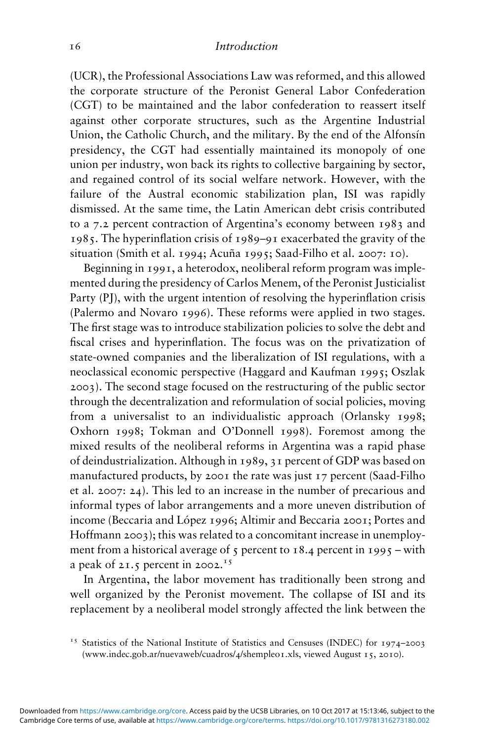(UCR), the Professional Associations Law was reformed, and this allowed the corporate structure of the Peronist General Labor Confederation (CGT) to be maintained and the labor confederation to reassert itself against other corporate structures, such as the Argentine Industrial Union, the Catholic Church, and the military. By the end of the Alfonsín presidency, the CGT had essentially maintained its monopoly of one union per industry, won back its rights to collective bargaining by sector, and regained control of its social welfare network. However, with the failure of the Austral economic stabilization plan, ISI was rapidly dismissed. At the same time, the Latin American debt crisis contributed to a 7.2 percent contraction of Argentina's economy between 1983 and 1985. The hyperinflation crisis of 1989–91 exacerbated the gravity of the situation (Smith et al. 1994; Acuña 1995; Saad-Filho et al. 2007: 10).

Beginning in 1991, a heterodox, neoliberal reform program was implemented during the presidency of Carlos Menem, of the Peronist Justicialist Party (PJ), with the urgent intention of resolving the hyperinflation crisis (Palermo and Novaro 1996). These reforms were applied in two stages. The first stage was to introduce stabilization policies to solve the debt and fiscal crises and hyperinflation. The focus was on the privatization of state-owned companies and the liberalization of ISI regulations, with a neoclassical economic perspective (Haggard and Kaufman 1995; Oszlak 2003). The second stage focused on the restructuring of the public sector through the decentralization and reformulation of social policies, moving from a universalist to an individualistic approach (Orlansky 1998; Oxhorn 1998; Tokman and O'Donnell 1998). Foremost among the mixed results of the neoliberal reforms in Argentina was a rapid phase of deindustrialization. Although in 1989, 31 percent of GDP was based on manufactured products, by 2001 the rate was just 17 percent (Saad-Filho et al. 2007: 24). This led to an increase in the number of precarious and informal types of labor arrangements and a more uneven distribution of income (Beccaria and López 1996; Altimir and Beccaria 2001; Portes and Hoffmann 2003); this was related to a concomitant increase in unemployment from a historical average of  $\zeta$  percent to 18.4 percent in 199 $\zeta$  – with a peak of 21.5 percent in 2002.<sup>15</sup>

In Argentina, the labor movement has traditionally been strong and well organized by the Peronist movement. The collapse of ISI and its replacement by a neoliberal model strongly affected the link between the

<sup>&</sup>lt;sup>15</sup> Statistics of the National Institute of Statistics and Censuses (INDEC) for 1974-2003 (www.indec.gob.ar/nuevaweb/cuadros/4/shempleo1.xls, viewed August 15, 2010).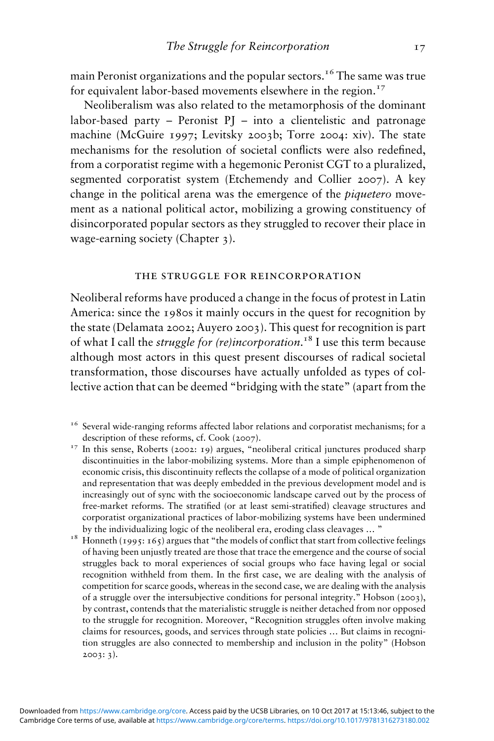main Peronist organizations and the popular sectors.<sup>16</sup> The same was true for equivalent labor-based movements elsewhere in the region.<sup>17</sup>

Neoliberalism was also related to the metamorphosis of the dominant labor-based party – Peronist  $PI$  – into a clientelistic and patronage machine (McGuire 1997; Levitsky 2003b; Torre 2004: xiv). The state mechanisms for the resolution of societal conflicts were also redefined, from a corporatist regime with a hegemonic Peronist CGT to a pluralized, segmented corporatist system (Etchemendy and Collier 2007). A key change in the political arena was the emergence of the piquetero movement as a national political actor, mobilizing a growing constituency of disincorporated popular sectors as they struggled to recover their place in wage-earning society (Chapter 3).

#### the struggle for reincorporation

Neoliberal reforms have produced a change in the focus of protest in Latin America: since the 1980s it mainly occurs in the quest for recognition by the state (Delamata 2002; Auyero 2003). This quest for recognition is part of what I call the struggle for (re)incorporation.<sup>18</sup> I use this term because although most actors in this quest present discourses of radical societal transformation, those discourses have actually unfolded as types of collective action that can be deemed "bridging with the state" (apart from the

- $16$  Several wide-ranging reforms affected labor relations and corporatist mechanisms; for a description of these reforms, cf. Cook (2007).<br><sup>17</sup> In this sense, Roberts (2002: 19) argues, "neoliberal critical junctures produced sharp
- discontinuities in the labor-mobilizing systems. More than a simple epiphenomenon of economic crisis, this discontinuity reflects the collapse of a mode of political organization and representation that was deeply embedded in the previous development model and is increasingly out of sync with the socioeconomic landscape carved out by the process of free-market reforms. The stratified (or at least semi-stratified) cleavage structures and corporatist organizational practices of labor-mobilizing systems have been undermined
- by the individualizing logic of the neoliberal era, eroding class cleavages ... "<br><sup>18</sup> Honneth (1995: 165) argues that "the models of conflict that start from collective feelings of having been unjustly treated are those that trace the emergence and the course of social struggles back to moral experiences of social groups who face having legal or social recognition withheld from them. In the first case, we are dealing with the analysis of competition for scarce goods, whereas in the second case, we are dealing with the analysis of a struggle over the intersubjective conditions for personal integrity." Hobson (2003), by contrast, contends that the materialistic struggle is neither detached from nor opposed to the struggle for recognition. Moreover, "Recognition struggles often involve making claims for resources, goods, and services through state policies … But claims in recognition struggles are also connected to membership and inclusion in the polity" (Hobson 2003: 3).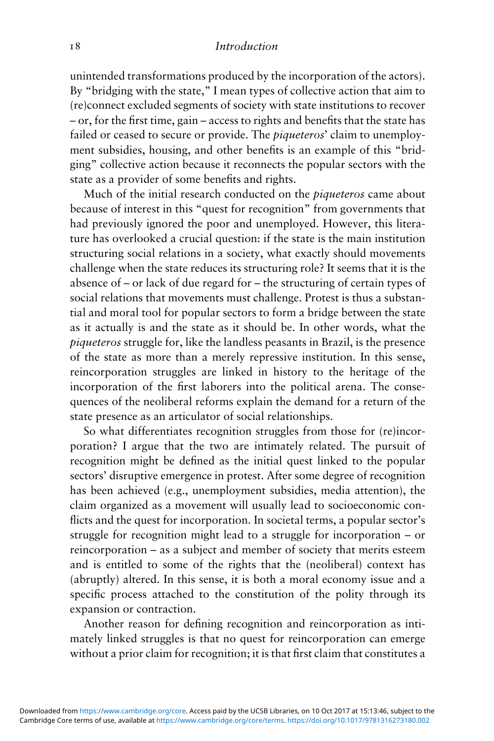unintended transformations produced by the incorporation of the actors). By "bridging with the state," I mean types of collective action that aim to (re)connect excluded segments of society with state institutions to recover – or, for the first time, gain – access to rights and benefits that the state has failed or ceased to secure or provide. The *piqueteros'* claim to unemployment subsidies, housing, and other benefits is an example of this "bridging" collective action because it reconnects the popular sectors with the state as a provider of some benefits and rights.

Much of the initial research conducted on the piqueteros came about because of interest in this "quest for recognition" from governments that had previously ignored the poor and unemployed. However, this literature has overlooked a crucial question: if the state is the main institution structuring social relations in a society, what exactly should movements challenge when the state reduces its structuring role? It seems that it is the absence of – or lack of due regard for – the structuring of certain types of social relations that movements must challenge. Protest is thus a substantial and moral tool for popular sectors to form a bridge between the state as it actually is and the state as it should be. In other words, what the piqueteros struggle for, like the landless peasants in Brazil, is the presence of the state as more than a merely repressive institution. In this sense, reincorporation struggles are linked in history to the heritage of the incorporation of the first laborers into the political arena. The consequences of the neoliberal reforms explain the demand for a return of the state presence as an articulator of social relationships.

So what differentiates recognition struggles from those for (re)incorporation? I argue that the two are intimately related. The pursuit of recognition might be defined as the initial quest linked to the popular sectors' disruptive emergence in protest. After some degree of recognition has been achieved (e.g., unemployment subsidies, media attention), the claim organized as a movement will usually lead to socioeconomic conflicts and the quest for incorporation. In societal terms, a popular sector's struggle for recognition might lead to a struggle for incorporation – or reincorporation – as a subject and member of society that merits esteem and is entitled to some of the rights that the (neoliberal) context has (abruptly) altered. In this sense, it is both a moral economy issue and a specific process attached to the constitution of the polity through its expansion or contraction.

Another reason for defining recognition and reincorporation as intimately linked struggles is that no quest for reincorporation can emerge without a prior claim for recognition; it is that first claim that constitutes a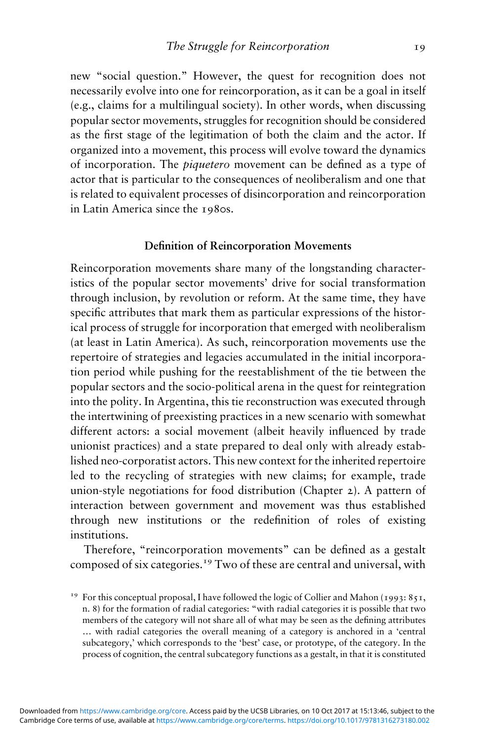new "social question." However, the quest for recognition does not necessarily evolve into one for reincorporation, as it can be a goal in itself (e.g., claims for a multilingual society). In other words, when discussing popular sector movements, struggles for recognition should be considered as the first stage of the legitimation of both the claim and the actor. If organized into a movement, this process will evolve toward the dynamics of incorporation. The piquetero movement can be defined as a type of actor that is particular to the consequences of neoliberalism and one that is related to equivalent processes of disincorporation and reincorporation in Latin America since the 1980s.

## Definition of Reincorporation Movements

Reincorporation movements share many of the longstanding characteristics of the popular sector movements' drive for social transformation through inclusion, by revolution or reform. At the same time, they have specific attributes that mark them as particular expressions of the historical process of struggle for incorporation that emerged with neoliberalism (at least in Latin America). As such, reincorporation movements use the repertoire of strategies and legacies accumulated in the initial incorporation period while pushing for the reestablishment of the tie between the popular sectors and the socio-political arena in the quest for reintegration into the polity. In Argentina, this tie reconstruction was executed through the intertwining of preexisting practices in a new scenario with somewhat different actors: a social movement (albeit heavily influenced by trade unionist practices) and a state prepared to deal only with already established neo-corporatist actors. This new context for the inherited repertoire led to the recycling of strategies with new claims; for example, trade union-style negotiations for food distribution (Chapter 2). A pattern of interaction between government and movement was thus established through new institutions or the redefinition of roles of existing institutions.

Therefore, "reincorporation movements" can be defined as a gestalt composed of six categories.<sup>19</sup> Two of these are central and universal, with

<sup>&</sup>lt;sup>19</sup> For this conceptual proposal, I have followed the logic of Collier and Mahon (1993: 851, n. 8) for the formation of radial categories: "with radial categories it is possible that two members of the category will not share all of what may be seen as the defining attributes … with radial categories the overall meaning of a category is anchored in a 'central subcategory,' which corresponds to the 'best' case, or prototype, of the category. In the process of cognition, the central subcategory functions as a gestalt, in that it is constituted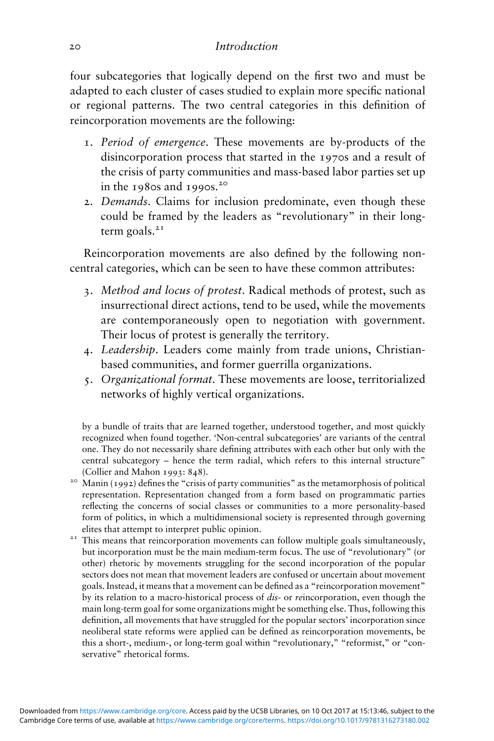four subcategories that logically depend on the first two and must be adapted to each cluster of cases studied to explain more specific national or regional patterns. The two central categories in this definition of reincorporation movements are the following:

- 1. Period of emergence. These movements are by-products of the disincorporation process that started in the 1970s and a result of the crisis of party communities and mass-based labor parties set up in the 1980s and 1990s.<sup>20</sup>
- 2. Demands. Claims for inclusion predominate, even though these could be framed by the leaders as "revolutionary" in their longterm goals. $21$

Reincorporation movements are also defined by the following noncentral categories, which can be seen to have these common attributes:

- 3. Method and locus of protest. Radical methods of protest, such as insurrectional direct actions, tend to be used, while the movements are contemporaneously open to negotiation with government. Their locus of protest is generally the territory.
- 4. Leadership. Leaders come mainly from trade unions, Christianbased communities, and former guerrilla organizations.
- 5. Organizational format. These movements are loose, territorialized networks of highly vertical organizations.

by a bundle of traits that are learned together, understood together, and most quickly recognized when found together. 'Non-central subcategories' are variants of the central one. They do not necessarily share defining attributes with each other but only with the central subcategory – hence the term radial, which refers to this internal structure" (Collier and Mahon 1993: 848). <sup>20</sup> Manin (1992) defines the "crisis of party communities" as the metamorphosis of political

- representation. Representation changed from a form based on programmatic parties reflecting the concerns of social classes or communities to a more personality-based form of politics, in which a multidimensional society is represented through governing
- elites that attempt to interpret public opinion. <sup>21</sup> This means that reincorporation movements can follow multiple goals simultaneously, but incorporation must be the main medium-term focus. The use of "revolutionary" (or other) rhetoric by movements struggling for the second incorporation of the popular sectors does not mean that movement leaders are confused or uncertain about movement goals. Instead, it means that a movement can be defined as a "reincorporation movement" by its relation to a macro-historical process of dis- or reincorporation, even though the main long-term goal for some organizations might be something else. Thus, following this definition, all movements that have struggled for the popular sectors' incorporation since neoliberal state reforms were applied can be defined as reincorporation movements, be this a short-, medium-, or long-term goal within "revolutionary," "reformist," or "conservative" rhetorical forms.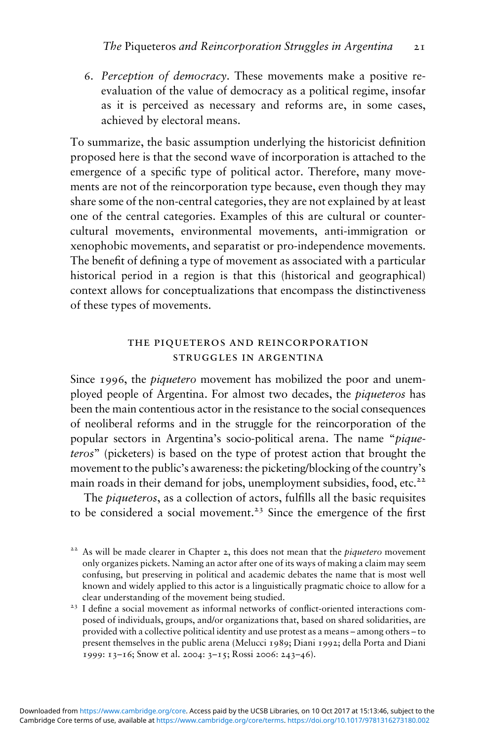6. Perception of democracy. These movements make a positive reevaluation of the value of democracy as a political regime, insofar as it is perceived as necessary and reforms are, in some cases, achieved by electoral means.

To summarize, the basic assumption underlying the historicist definition proposed here is that the second wave of incorporation is attached to the emergence of a specific type of political actor. Therefore, many movements are not of the reincorporation type because, even though they may share some of the non-central categories, they are not explained by at least one of the central categories. Examples of this are cultural or countercultural movements, environmental movements, anti-immigration or xenophobic movements, and separatist or pro-independence movements. The benefit of defining a type of movement as associated with a particular historical period in a region is that this (historical and geographical) context allows for conceptualizations that encompass the distinctiveness of these types of movements.

## the piqueteros and reincorporation struggles in argentina

Since 1996, the *piquetero* movement has mobilized the poor and unemployed people of Argentina. For almost two decades, the piqueteros has been the main contentious actor in the resistance to the social consequences of neoliberal reforms and in the struggle for the reincorporation of the popular sectors in Argentina's socio-political arena. The name "piqueteros" (picketers) is based on the type of protest action that brought the movement to the public's awareness: the picketing/blocking of the country's main roads in their demand for jobs, unemployment subsidies, food, etc.<sup>22</sup>

The piqueteros, as a collection of actors, fulfills all the basic requisites to be considered a social movement.<sup>23</sup> Since the emergence of the first

 $22$  As will be made clearer in Chapter 2, this does not mean that the *piquetero* movement only organizes pickets. Naming an actor after one of its ways of making a claim may seem confusing, but preserving in political and academic debates the name that is most well known and widely applied to this actor is a linguistically pragmatic choice to allow for a clear understanding of the movement being studied. <sup>23</sup> I define a social movement as informal networks of conflict-oriented interactions com-

posed of individuals, groups, and/or organizations that, based on shared solidarities, are provided with a collective political identity and use protest as a means – among others – to present themselves in the public arena (Melucci 1989; Diani 1992; della Porta and Diani 1999: 13–16; Snow et al. 2004: 3–15; Rossi 2006: 243–46).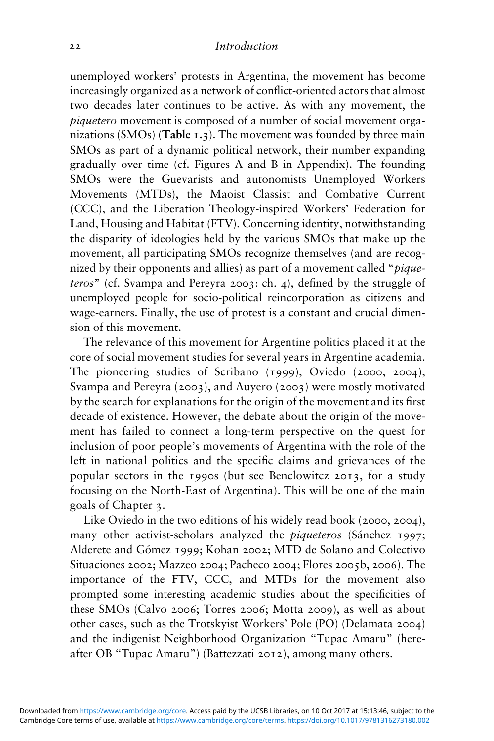unemployed workers' protests in Argentina, the movement has become increasingly organized as a network of conflict-oriented actors that almost two decades later continues to be active. As with any movement, the piquetero movement is composed of a number of social movement organizations (SMOs) (Table  $1.3$ ). The movement was founded by three main SMOs as part of a dynamic political network, their number expanding gradually over time (cf. Figures A and B in Appendix). The founding SMOs were the Guevarists and autonomists Unemployed Workers Movements (MTDs), the Maoist Classist and Combative Current (CCC), and the Liberation Theology-inspired Workers' Federation for Land, Housing and Habitat (FTV). Concerning identity, notwithstanding the disparity of ideologies held by the various SMOs that make up the movement, all participating SMOs recognize themselves (and are recognized by their opponents and allies) as part of a movement called "piqueteros" (cf. Svampa and Pereyra 2003: ch. 4), defined by the struggle of unemployed people for socio-political reincorporation as citizens and wage-earners. Finally, the use of protest is a constant and crucial dimension of this movement.

The relevance of this movement for Argentine politics placed it at the core of social movement studies for several years in Argentine academia. The pioneering studies of Scribano (1999), Oviedo (2000, 2004), Svampa and Pereyra (2003), and Auyero (2003) were mostly motivated by the search for explanations for the origin of the movement and its first decade of existence. However, the debate about the origin of the movement has failed to connect a long-term perspective on the quest for inclusion of poor people's movements of Argentina with the role of the left in national politics and the specific claims and grievances of the popular sectors in the 1990s (but see Benclowitcz 2013, for a study focusing on the North-East of Argentina). This will be one of the main goals of Chapter 3.

Like Oviedo in the two editions of his widely read book (2000, 2004), many other activist-scholars analyzed the piqueteros (Sánchez 1997; Alderete and Gómez 1999; Kohan 2002; MTD de Solano and Colectivo Situaciones 2002; Mazzeo 2004; Pacheco 2004; Flores 2005b, 2006). The importance of the FTV, CCC, and MTDs for the movement also prompted some interesting academic studies about the specificities of these SMOs (Calvo 2006; Torres 2006; Motta 2009), as well as about other cases, such as the Trotskyist Workers' Pole (PO) (Delamata 2004) and the indigenist Neighborhood Organization "Tupac Amaru" (hereafter OB "Tupac Amaru") (Battezzati 2012), among many others.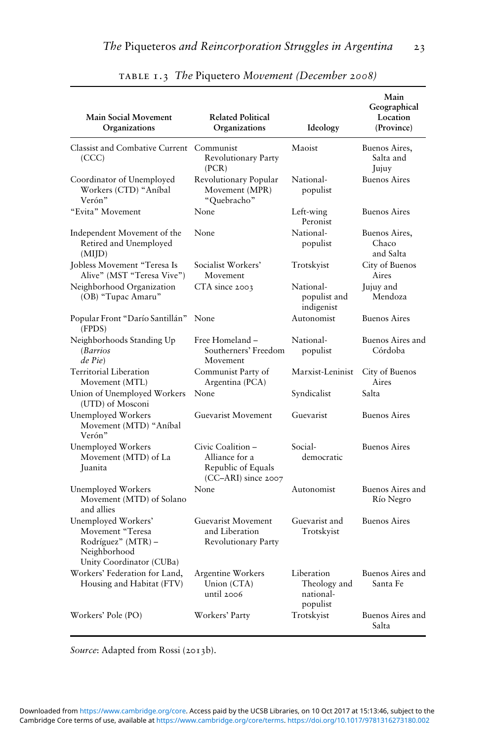| <b>Main Social Movement</b><br>Organizations                                                              | <b>Related Political</b><br>Organizations                                        | Ideology                                            | Main<br>Geographical<br>Location<br>(Province) |
|-----------------------------------------------------------------------------------------------------------|----------------------------------------------------------------------------------|-----------------------------------------------------|------------------------------------------------|
| <b>Classist and Combative Current</b><br>(CCC)                                                            | Communist<br><b>Revolutionary Party</b><br>(PCR)                                 | Maoist                                              | Buenos Aires,<br>Salta and<br>Jujuy            |
| Coordinator of Unemployed<br>Workers (CTD) "Aníbal<br>Verón"                                              | Revolutionary Popular<br>Movement (MPR)<br>"Quebracho"                           | National-<br>populist                               | <b>Buenos Aires</b>                            |
| "Evita" Movement                                                                                          | None                                                                             | Left-wing<br>Peronist                               | <b>Buenos Aires</b>                            |
| Independent Movement of the<br>Retired and Unemployed<br>(MIJD)                                           | None                                                                             | National-<br>populist                               | Buenos Aires,<br>Chaco<br>and Salta            |
| Jobless Movement "Teresa Is<br>Alive" (MST "Teresa Vive")                                                 | Socialist Workers'<br>Movement                                                   | Trotskyist                                          | City of Buenos<br>Aires                        |
| Neighborhood Organization<br>(OB) "Tupac Amaru"                                                           | CTA since 2003                                                                   | National-<br>populist and<br>indigenist             | Jujuy and<br>Mendoza                           |
| Popular Front "Darío Santillán"<br>(FPDS)                                                                 | None                                                                             | Autonomist                                          | <b>Buenos Aires</b>                            |
| Neighborhoods Standing Up<br><i>(Barrios</i><br>$de$ Pie)                                                 | Free Homeland -<br>Southerners' Freedom<br>Movement                              | National-<br>populist                               | Buenos Aires and<br>Córdoba                    |
| Territorial Liberation<br>Movement (MTL)                                                                  | Communist Party of<br>Argentina (PCA)                                            | Marxist-Leninist                                    | City of Buenos<br>Aires                        |
| Union of Unemployed Workers<br>(UTD) of Mosconi                                                           | None                                                                             | Syndicalist                                         | Salta                                          |
| Unemployed Workers<br>Movement (MTD) "Aníbal<br>Verón"                                                    | Guevarist Movement                                                               | Guevarist                                           | <b>Buenos Aires</b>                            |
| Unemployed Workers<br>Movement (MTD) of La<br><b>Iuanita</b>                                              | Civic Coalition -<br>Alliance for a<br>Republic of Equals<br>(CC-ARI) since 2007 | Social-<br>democratic                               | <b>Buenos Aires</b>                            |
| Unemployed Workers<br>Movement (MTD) of Solano<br>and allies                                              | None                                                                             | Autonomist                                          | Buenos Aires and<br>Río Negro                  |
| Unemployed Workers'<br>Movement "Teresa<br>Rodríguez" (MTR) –<br>Neighborhood<br>Unity Coordinator (CUBa) | <b>Guevarist Movement</b><br>and Liberation<br>Revolutionary Party               | Guevarist and<br>Trotskyist                         | <b>Buenos Aires</b>                            |
| Workers' Federation for Land,<br>Housing and Habitat (FTV)                                                | Argentine Workers<br>Union (CTA)<br>until 2006                                   | Liberation<br>Theology and<br>national-<br>populist | Buenos Aires and<br>Santa Fe                   |
| Workers' Pole (PO)                                                                                        | Workers' Party                                                                   | Trotskyist                                          | Buenos Aires and<br>Salta                      |

| TABLE 1.3 The Piquetero Movement (December 2008) |  |  |
|--------------------------------------------------|--|--|
|                                                  |  |  |

Source: Adapted from Rossi (2013b).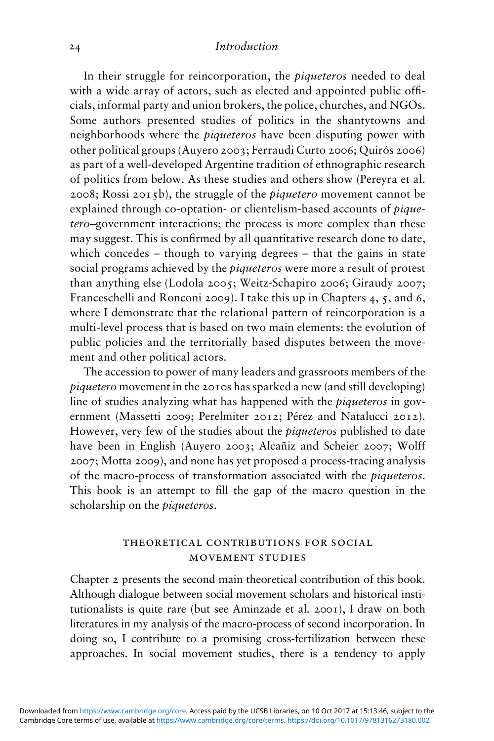#### 24 Introduction

In their struggle for reincorporation, the piqueteros needed to deal with a wide array of actors, such as elected and appointed public officials, informal party and union brokers, the police, churches, and NGOs. Some authors presented studies of politics in the shantytowns and neighborhoods where the piqueteros have been disputing power with other political groups (Auyero 2003; Ferraudi Curto 2006; Quirós 2006) as part of a well-developed Argentine tradition of ethnographic research of politics from below. As these studies and others show (Pereyra et al. 2008; Rossi 2015b), the struggle of the piquetero movement cannot be explained through co-optation- or clientelism-based accounts of *pique*tero–government interactions; the process is more complex than these may suggest. This is confirmed by all quantitative research done to date, which concedes – though to varying degrees – that the gains in state social programs achieved by the piqueteros were more a result of protest than anything else (Lodola 2005; Weitz-Schapiro 2006; Giraudy 2007; Franceschelli and Ronconi 2009). I take this up in Chapters 4, 5, and 6, where I demonstrate that the relational pattern of reincorporation is a multi-level process that is based on two main elements: the evolution of public policies and the territorially based disputes between the movement and other political actors.

The accession to power of many leaders and grassroots members of the piquetero movement in the 2010s has sparked a new (and still developing) line of studies analyzing what has happened with the piqueteros in government (Massetti 2009; Perelmiter 2012; Pérez and Natalucci 2012). However, very few of the studies about the *piqueteros* published to date have been in English (Auyero 2003; Alcañiz and Scheier 2007; Wolff 2007; Motta 2009), and none has yet proposed a process-tracing analysis of the macro-process of transformation associated with the piqueteros. This book is an attempt to fill the gap of the macro question in the scholarship on the *piqueteros*.

## theoretical contributions for social movement studies

Chapter 2 presents the second main theoretical contribution of this book. Although dialogue between social movement scholars and historical institutionalists is quite rare (but see Aminzade et al. 2001), I draw on both literatures in my analysis of the macro-process of second incorporation. In doing so, I contribute to a promising cross-fertilization between these approaches. In social movement studies, there is a tendency to apply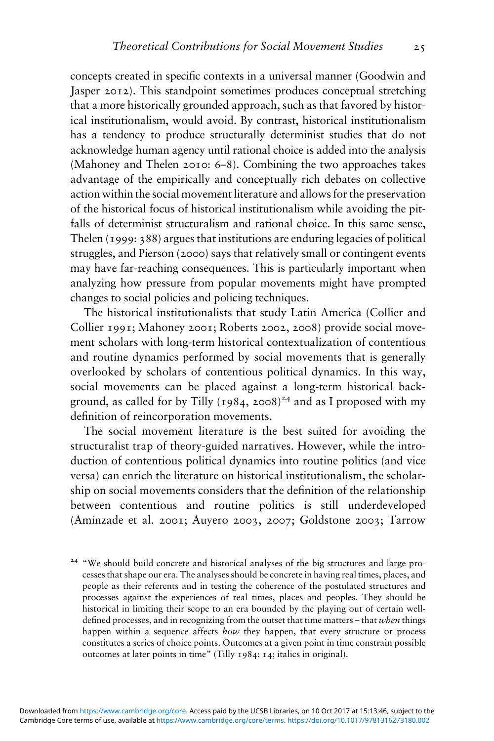concepts created in specific contexts in a universal manner (Goodwin and Jasper 2012). This standpoint sometimes produces conceptual stretching that a more historically grounded approach, such as that favored by historical institutionalism, would avoid. By contrast, historical institutionalism has a tendency to produce structurally determinist studies that do not acknowledge human agency until rational choice is added into the analysis (Mahoney and Thelen 2010: 6–8). Combining the two approaches takes advantage of the empirically and conceptually rich debates on collective action within the social movement literature and allows for the preservation of the historical focus of historical institutionalism while avoiding the pitfalls of determinist structuralism and rational choice. In this same sense, Thelen (1999: 388) argues that institutions are enduring legacies of political struggles, and Pierson (2000) says that relatively small or contingent events may have far-reaching consequences. This is particularly important when analyzing how pressure from popular movements might have prompted changes to social policies and policing techniques.

The historical institutionalists that study Latin America (Collier and Collier 1991; Mahoney 2001; Roberts 2002, 2008) provide social movement scholars with long-term historical contextualization of contentious and routine dynamics performed by social movements that is generally overlooked by scholars of contentious political dynamics. In this way, social movements can be placed against a long-term historical background, as called for by Tilly  $(1984, 2008)^{24}$  and as I proposed with my definition of reincorporation movements.

The social movement literature is the best suited for avoiding the structuralist trap of theory-guided narratives. However, while the introduction of contentious political dynamics into routine politics (and vice versa) can enrich the literature on historical institutionalism, the scholarship on social movements considers that the definition of the relationship between contentious and routine politics is still underdeveloped (Aminzade et al. 2001; Auyero 2003, 2007; Goldstone 2003; Tarrow

<sup>&</sup>lt;sup>24</sup> "We should build concrete and historical analyses of the big structures and large processes that shape our era. The analyses should be concrete in having real times, places, and people as their referents and in testing the coherence of the postulated structures and processes against the experiences of real times, places and peoples. They should be historical in limiting their scope to an era bounded by the playing out of certain welldefined processes, and in recognizing from the outset that time matters - that when things happen within a sequence affects how they happen, that every structure or process constitutes a series of choice points. Outcomes at a given point in time constrain possible outcomes at later points in time" (Tilly 1984: 14; italics in original).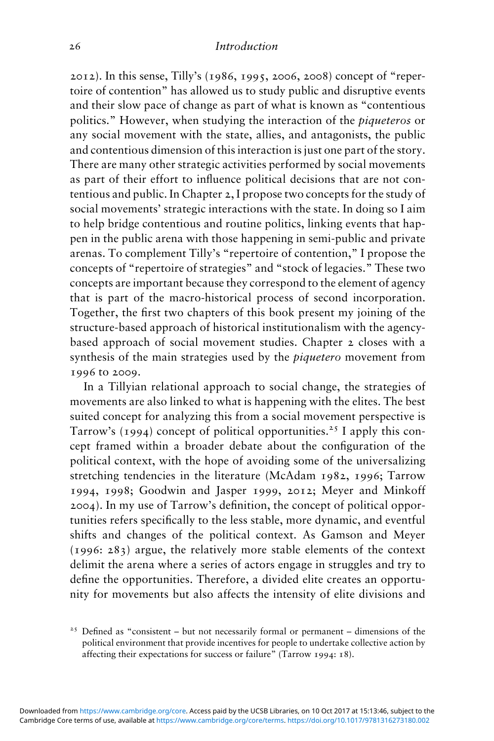2012). In this sense, Tilly's (1986, 1995, 2006, 2008) concept of "repertoire of contention" has allowed us to study public and disruptive events and their slow pace of change as part of what is known as "contentious politics." However, when studying the interaction of the piqueteros or any social movement with the state, allies, and antagonists, the public and contentious dimension of this interaction is just one part of the story. There are many other strategic activities performed by social movements as part of their effort to influence political decisions that are not contentious and public. In Chapter 2, I propose two concepts for the study of social movements' strategic interactions with the state. In doing so I aim to help bridge contentious and routine politics, linking events that happen in the public arena with those happening in semi-public and private arenas. To complement Tilly's "repertoire of contention," I propose the concepts of "repertoire of strategies" and "stock of legacies." These two concepts are important because they correspond to the element of agency that is part of the macro-historical process of second incorporation. Together, the first two chapters of this book present my joining of the structure-based approach of historical institutionalism with the agencybased approach of social movement studies. Chapter 2 closes with a synthesis of the main strategies used by the *piquetero* movement from 1996 to 2009.

In a Tillyian relational approach to social change, the strategies of movements are also linked to what is happening with the elites. The best suited concept for analyzing this from a social movement perspective is Tarrow's (1994) concept of political opportunities.<sup>25</sup> I apply this concept framed within a broader debate about the configuration of the political context, with the hope of avoiding some of the universalizing stretching tendencies in the literature (McAdam 1982, 1996; Tarrow 1994, 1998; Goodwin and Jasper 1999, 2012; Meyer and Minkoff 2004). In my use of Tarrow's definition, the concept of political opportunities refers specifically to the less stable, more dynamic, and eventful shifts and changes of the political context. As Gamson and Meyer (1996: 283) argue, the relatively more stable elements of the context delimit the arena where a series of actors engage in struggles and try to define the opportunities. Therefore, a divided elite creates an opportunity for movements but also affects the intensity of elite divisions and

<sup>&</sup>lt;sup>25</sup> Defined as "consistent – but not necessarily formal or permanent – dimensions of the political environment that provide incentives for people to undertake collective action by affecting their expectations for success or failure" (Tarrow 1994: 18).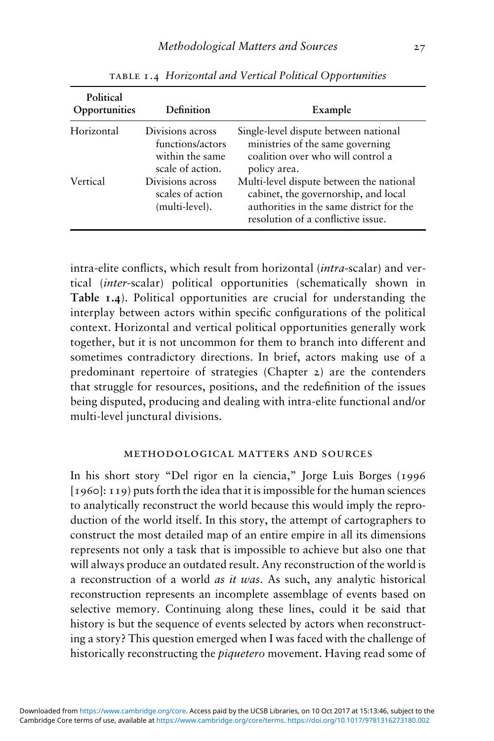| Political<br>Opportunities | Definition                                                                  | Example                                                                                                                                                            |
|----------------------------|-----------------------------------------------------------------------------|--------------------------------------------------------------------------------------------------------------------------------------------------------------------|
| Horizontal                 | Divisions across<br>functions/actors<br>within the same<br>scale of action. | Single-level dispute between national<br>ministries of the same governing<br>coalition over who will control a<br>policy area.                                     |
| Vertical                   | Divisions across<br>scales of action<br>(multi-level).                      | Multi-level dispute between the national<br>cabinet, the governorship, and local<br>authorities in the same district for the<br>resolution of a conflictive issue. |

table 1.4 Horizontal and Vertical Political Opportunities

intra-elite conflicts, which result from horizontal (intra-scalar) and vertical (inter-scalar) political opportunities (schematically shown in Table 1.4). Political opportunities are crucial for understanding the interplay between actors within specific configurations of the political context. Horizontal and vertical political opportunities generally work together, but it is not uncommon for them to branch into different and sometimes contradictory directions. In brief, actors making use of a predominant repertoire of strategies (Chapter 2) are the contenders that struggle for resources, positions, and the redefinition of the issues being disputed, producing and dealing with intra-elite functional and/or multi-level junctural divisions.

#### methodological matters and sources

In his short story "Del rigor en la ciencia," Jorge Luis Borges (1996 [1960]: 119) puts forth the idea that it is impossible for the human sciences to analytically reconstruct the world because this would imply the reproduction of the world itself. In this story, the attempt of cartographers to construct the most detailed map of an entire empire in all its dimensions represents not only a task that is impossible to achieve but also one that will always produce an outdated result. Any reconstruction of the world is a reconstruction of a world as it was. As such, any analytic historical reconstruction represents an incomplete assemblage of events based on selective memory. Continuing along these lines, could it be said that history is but the sequence of events selected by actors when reconstructing a story? This question emerged when I was faced with the challenge of historically reconstructing the *piquetero* movement. Having read some of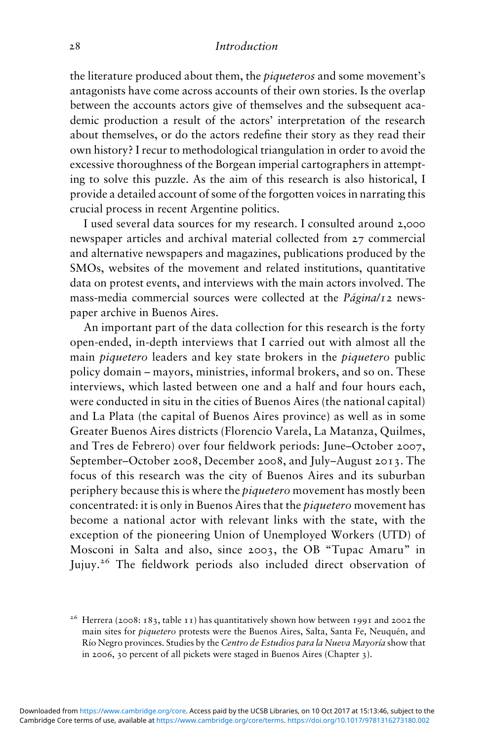#### 28 Introduction

the literature produced about them, the *piqueteros* and some movement's antagonists have come across accounts of their own stories. Is the overlap between the accounts actors give of themselves and the subsequent academic production a result of the actors' interpretation of the research about themselves, or do the actors redefine their story as they read their own history? I recur to methodological triangulation in order to avoid the excessive thoroughness of the Borgean imperial cartographers in attempting to solve this puzzle. As the aim of this research is also historical, I provide a detailed account of some of the forgotten voices in narrating this crucial process in recent Argentine politics.

I used several data sources for my research. I consulted around 2,000 newspaper articles and archival material collected from 27 commercial and alternative newspapers and magazines, publications produced by the SMOs, websites of the movement and related institutions, quantitative data on protest events, and interviews with the main actors involved. The mass-media commercial sources were collected at the Página/*12* newspaper archive in Buenos Aires.

An important part of the data collection for this research is the forty open-ended, in-depth interviews that I carried out with almost all the main *piquetero* leaders and key state brokers in the *piquetero* public policy domain – mayors, ministries, informal brokers, and so on. These interviews, which lasted between one and a half and four hours each, were conducted in situ in the cities of Buenos Aires (the national capital) and La Plata (the capital of Buenos Aires province) as well as in some Greater Buenos Aires districts (Florencio Varela, La Matanza, Quilmes, and Tres de Febrero) over four fieldwork periods: June–October 2007, September–October 2008, December 2008, and July–August 2013. The focus of this research was the city of Buenos Aires and its suburban periphery because this is where the piquetero movement has mostly been concentrated: it is only in Buenos Aires that the piquetero movement has become a national actor with relevant links with the state, with the exception of the pioneering Union of Unemployed Workers (UTD) of Mosconi in Salta and also, since 2003, the OB "Tupac Amaru" in Jujuy.<sup>26</sup> The fieldwork periods also included direct observation of

<sup>26</sup> Herrera (2008: 183, table 11) has quantitatively shown how between 1991 and 2002 the main sites for piquetero protests were the Buenos Aires, Salta, Santa Fe, Neuquén, and Río Negro provinces. Studies by the Centro de Estudios para la Nueva Mayoría show that in 2006, 30 percent of all pickets were staged in Buenos Aires (Chapter 3).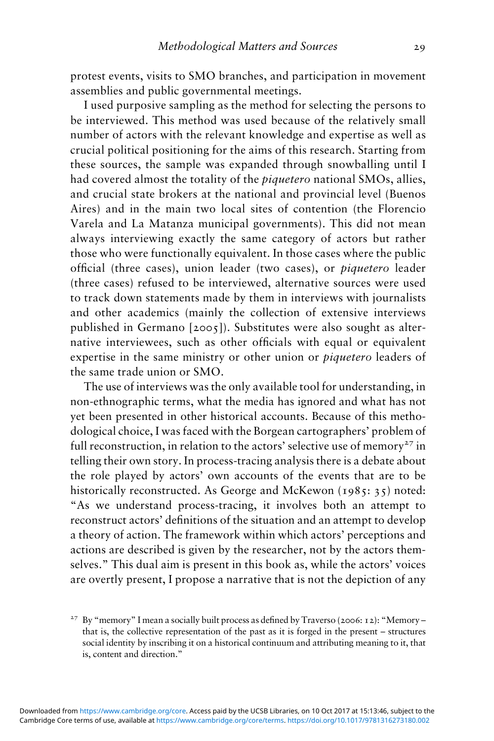protest events, visits to SMO branches, and participation in movement assemblies and public governmental meetings.

I used purposive sampling as the method for selecting the persons to be interviewed. This method was used because of the relatively small number of actors with the relevant knowledge and expertise as well as crucial political positioning for the aims of this research. Starting from these sources, the sample was expanded through snowballing until I had covered almost the totality of the *piquetero* national SMOs, allies, and crucial state brokers at the national and provincial level (Buenos Aires) and in the main two local sites of contention (the Florencio Varela and La Matanza municipal governments). This did not mean always interviewing exactly the same category of actors but rather those who were functionally equivalent. In those cases where the public official (three cases), union leader (two cases), or piquetero leader (three cases) refused to be interviewed, alternative sources were used to track down statements made by them in interviews with journalists and other academics (mainly the collection of extensive interviews published in Germano [2005]). Substitutes were also sought as alternative interviewees, such as other officials with equal or equivalent expertise in the same ministry or other union or piquetero leaders of the same trade union or SMO.

The use of interviews was the only available tool for understanding, in non-ethnographic terms, what the media has ignored and what has not yet been presented in other historical accounts. Because of this methodological choice, I was faced with the Borgean cartographers' problem of full reconstruction, in relation to the actors' selective use of memory<sup>27</sup> in telling their own story. In process-tracing analysis there is a debate about the role played by actors' own accounts of the events that are to be historically reconstructed. As George and McKewon (1985: 35) noted: "As we understand process-tracing, it involves both an attempt to reconstruct actors' definitions of the situation and an attempt to develop a theory of action. The framework within which actors' perceptions and actions are described is given by the researcher, not by the actors themselves." This dual aim is present in this book as, while the actors' voices are overtly present, I propose a narrative that is not the depiction of any

<sup>27</sup> By "memory" I mean a socially built process as defined by Traverso (2006: 12): "Memory – that is, the collective representation of the past as it is forged in the present – structures social identity by inscribing it on a historical continuum and attributing meaning to it, that is, content and direction."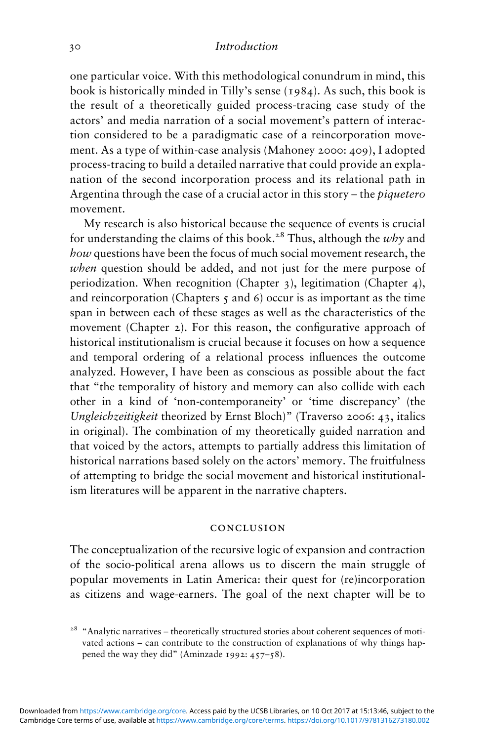#### 30 Introduction

one particular voice. With this methodological conundrum in mind, this book is historically minded in Tilly's sense (1984). As such, this book is the result of a theoretically guided process-tracing case study of the actors' and media narration of a social movement's pattern of interaction considered to be a paradigmatic case of a reincorporation movement. As a type of within-case analysis (Mahoney 2000: 409), I adopted process-tracing to build a detailed narrative that could provide an explanation of the second incorporation process and its relational path in Argentina through the case of a crucial actor in this story – the piquetero movement.

My research is also historical because the sequence of events is crucial for understanding the claims of this book.<sup>28</sup> Thus, although the *why* and how questions have been the focus of much social movement research, the when question should be added, and not just for the mere purpose of periodization. When recognition (Chapter 3), legitimation (Chapter 4), and reincorporation (Chapters  $\zeta$  and 6) occur is as important as the time span in between each of these stages as well as the characteristics of the movement (Chapter 2). For this reason, the configurative approach of historical institutionalism is crucial because it focuses on how a sequence and temporal ordering of a relational process influences the outcome analyzed. However, I have been as conscious as possible about the fact that "the temporality of history and memory can also collide with each other in a kind of 'non-contemporaneity' or 'time discrepancy' (the Ungleichzeitigkeit theorized by Ernst Bloch)" (Traverso 2006: 43, italics in original). The combination of my theoretically guided narration and that voiced by the actors, attempts to partially address this limitation of historical narrations based solely on the actors' memory. The fruitfulness of attempting to bridge the social movement and historical institutionalism literatures will be apparent in the narrative chapters.

#### conclusion

The conceptualization of the recursive logic of expansion and contraction of the socio-political arena allows us to discern the main struggle of popular movements in Latin America: their quest for (re)incorporation as citizens and wage-earners. The goal of the next chapter will be to

<sup>&</sup>lt;sup>28</sup> "Analytic narratives – theoretically structured stories about coherent sequences of motivated actions – can contribute to the construction of explanations of why things happened the way they did" (Aminzade 1992: 457–58).